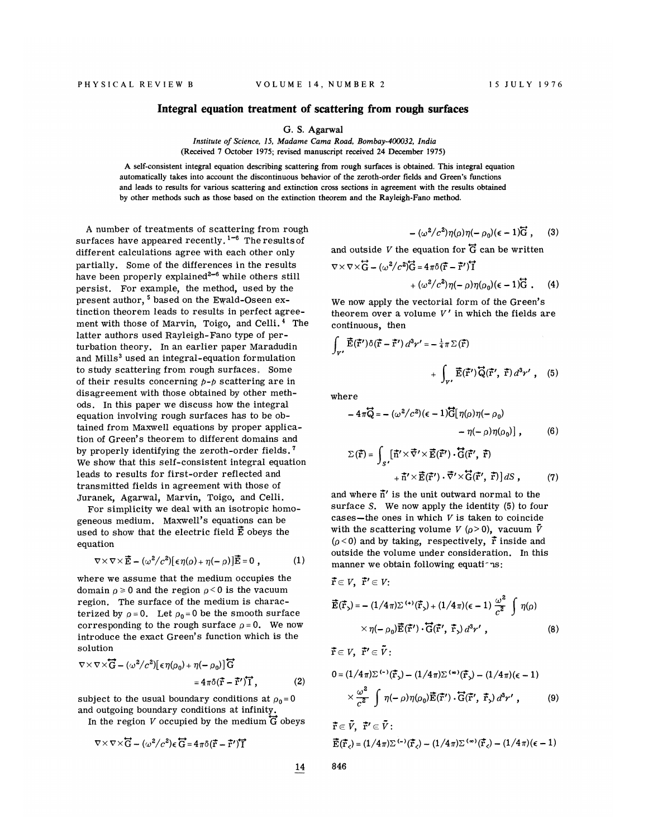## Integral equation treatment of scattering from rough surfaces

6. S. Agarwal

Institute of Science, 15, Madame Cama Road, Bombay-400032, India (Received 7 October 1975; revised manuscript received 24 December 1975)

A self-consistent integral equation describing scattering from rough surfaces is obtained. This integral equation automatically takes into account the discontinuous behavior of the zeroth-order fields and Green's functions and leads to results for various scattering and extinction cross sections in agreement with the results obtained by other methods such as those based on the extinction theorem and the Rayleigh-Fano method.

A number of treatments of scattering from rough surfaces have appeared recently.<sup>1-6</sup> The results of different calculations agree with each other only partially. Some of the differences in the results have been properly explained<sup>2-6</sup> while others still persist. For example, the method, used by the present author, <sup>5</sup> based on the Ewald-Oseen extinction theorem leads to results in perfect agreement with those of Marvin, Toigo, and Celli. <sup>4</sup> The latter authors used Rayleigh-Fano type of perturbation theory. In an earlier paper Maradudin and Mills<sup>3</sup> used an integral-equation formulation to study scattering from rough surfaces. Some of their results concerning  $p-p$  scattering are in disagreement with those obtained by other methods. In this paper we discuss how the integral equation involving rough surfaces has to be obtained from Maxwell equations by proper application of Green's theorem to different domains and by properly identifying the zeroth-order fields. ' We show that this self-consistent integral equation leads to results for first-order reflected and transmitted fields in agreement with those of Juranek, Agarwal, Marvin, Toigo, and Celli.

For simplicity we deal with an isotropic homogeneous medium. Maxwell's equations can be used to show that the electric field  $\vec{E}$  obeys the equation

$$
\nabla \times \nabla \times \vec{E} - (\omega^2/c^2) [\epsilon \eta(\rho) + \eta(-\rho)] \vec{E} = 0 , \qquad (1)
$$

where we assume that the medium occupies the domain  $\rho \geqslant 0$  and the region  $\rho \leqslant 0$  is the vacuur region. The surface of the medium is characterized by  $\rho = 0$ . Let  $\rho_0 = 0$  be the smooth surface corresponding to the rough surface  $\rho = 0$ . We now introduce the exact Green's function which is the solution

$$
\nabla \times \nabla \times \overrightarrow{G} - (\omega^2/c^2) [\epsilon \eta(\rho_0) + \eta(-\rho_0)] \overrightarrow{G}
$$
  
=  $4\pi \delta(\overrightarrow{r} - \overrightarrow{r}^{\prime}) \overrightarrow{I}$ , (2)

subject to the usual boundary conditions at  $\rho_0=0$ and outgoing boundary conditions at infinity.

In the region V occupied by the medium  $\overleftrightarrow{G}$  obeys

$$
\nabla \times \nabla \times \overleftrightarrow{G} - (\omega^2/c^2) \epsilon \overleftrightarrow{G} = 4\pi \delta (\overrightarrow{r} - \overrightarrow{r}^{\prime}) \overrightarrow{I}
$$

$$
-(\omega^2/c^2)\eta(\rho)\eta(-\rho_0)(\epsilon-1)\vec{G},\qquad(3)
$$

and outside V the equation for  $\overline{G}$  can be written

$$
\nabla \times \nabla \times \overleftrightarrow{G} - (\omega^2/c^2)\overleftrightarrow{G} = 4\pi \delta(\overrightarrow{r} - \overrightarrow{r}^{\prime})\overleftrightarrow{I}
$$

$$
+(\omega^2/c^2)\eta(-\rho)\eta(\rho_0)(\epsilon-1)\overleftrightarrow{G}.
$$
 (4)

We now apply the vectorial form of the Green's theorem over a volume  $V'$  in which the fields are continuous, then

$$
\int_{V'} \vec{E}(\vec{r}') \delta(\vec{r} - \vec{r}') d^3 r' = -\frac{1}{4} \pi \Sigma(\vec{r})
$$

$$
+ \int_{V'} \vec{E}(\vec{r}') \vec{Q}(\vec{r}', \vec{r}) d^3 r' , \quad (5)
$$

where

 $\vec{r} \in V$ ,  $\vec{r}' \in \vec{V}$ :

$$
-4\pi\overline{Q} = -(\omega^2/c^2)(\epsilon - 1)\overline{G}[\eta(\rho)\eta(-\rho_0) - \eta(-\rho)\eta(\rho_0)] , \qquad (6)
$$

$$
\Sigma(\vec{r}) = \int_{S'} [\vec{n}' \times \vec{\nabla}' \times \vec{E}(\vec{r}') \cdot \vec{G}(\vec{r}', \vec{r}) + \vec{n}' \times \vec{E}(\vec{r}') \cdot \vec{\nabla}' \times \vec{G}(\vec{r}', \vec{r})] dS , \qquad (7)
$$

and where  $\bar{n}'$  is the unit outward normal to the surface S. We now apply the identity (5) to four cases-the ones in which  $V$  is taken to coincide with the scattering volume V ( $\rho$ >0), vacuum  $\bar{V}$  $(\rho < 0)$  and by taking, respectively,  $\vec{r}$  inside and outside the volume under consideration. In this manner we obtain following equations:

$$
\vec{\mathbf{r}} \in V, \ \vec{\mathbf{r}}' \in V; \n\vec{\mathbf{E}}(\vec{\mathbf{r}}_{>}) = -(1/4\pi)\Sigma^{(+)}(\vec{\mathbf{r}}_{>}) + (1/4\pi)(\epsilon - 1)\frac{\omega^{2}}{c^{2}}\int \eta(\rho) \n\times \eta(-\rho_{0})\vec{\mathbf{E}}(\vec{\mathbf{r}}') \cdot \vec{\mathbf{G}}(\vec{\mathbf{r}}', \ \vec{\mathbf{r}}_{>}) d^{3}r',
$$
\n(8)

$$
0 = (1/4\pi)\Sigma^{(-)}(\vec{r}_{>}) - (1/4\pi)\Sigma^{(\infty)}(\vec{r}_{>}) - (1/4\pi)(\epsilon - 1)
$$

$$
\times \frac{\omega^{2}}{c^{2}} \int \eta(-\rho)\eta(\rho_{0})\vec{E}(\vec{r}') \cdot \vec{G}(\vec{r}', \vec{r}_{>}) d^{3}r', \qquad (9)
$$

$$
\vec{\mathbf{r}} \in \tilde{V}, \ \vec{\mathbf{r}}' \in \tilde{V} : \\ \vec{\mathbf{E}}(\vec{\mathbf{r}}_{\varsigma}) = (1/4\pi)\Sigma^{(-)}(\vec{\mathbf{r}}_{\varsigma}) - (1/4\pi)\Sigma^{(\infty)}(\vec{\mathbf{r}}_{\varsigma}) - (1/4\pi)(\epsilon - 1)
$$

14 846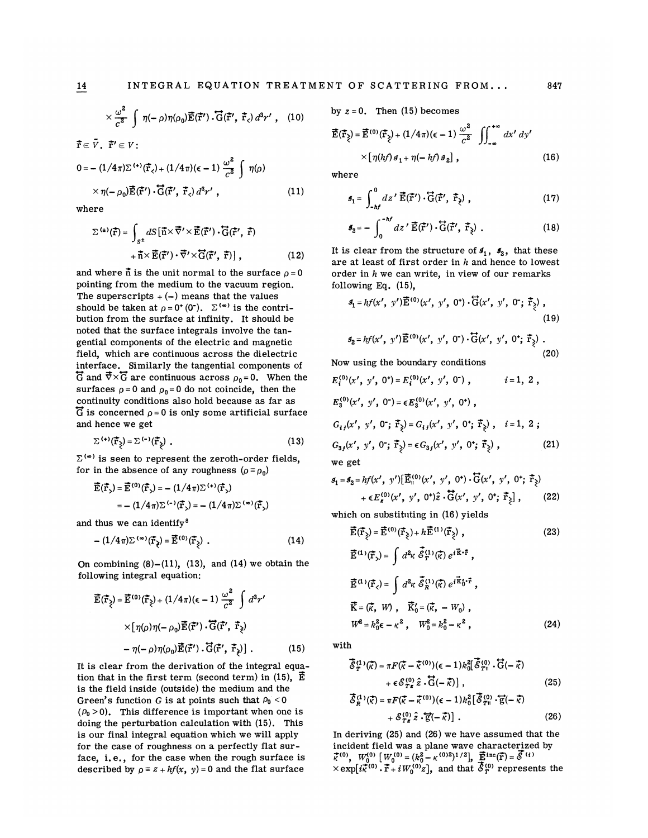$$
\times \frac{\omega^2}{c^2} \int \eta(-\rho) \eta(\rho_0) \vec{E}(\vec{r}') \cdot \vec{G}(\vec{r}', \vec{r}_c) d^3 r' , \quad (10)
$$

$$
0 = -(1/4\pi)\Sigma^{(+)}\left(\vec{\mathbf{r}}_{\epsilon}\right) + (1/4\pi)\left(\epsilon - 1\right)\frac{\omega^2}{c^2}\int \eta(\rho)
$$

$$
\times \eta(-\rho_0)\vec{\mathbf{E}}(\vec{\mathbf{r}}')\cdot\vec{\mathbf{G}}(\vec{\mathbf{r}}',\vec{\mathbf{r}}_{\epsilon})d^3r', \qquad (11)
$$

where

 $\vec{r} \in \tilde{V}$   $\vec{r}' \in V$ 

$$
\Sigma^{(4)}(\vec{r}) = \int_{S^{\pm}} dS [\vec{n} \times \vec{\nabla}' \times \vec{E}(\vec{r}') \cdot \vec{G}(\vec{r}', \vec{r}) \n+ \vec{n} \times \vec{E}(\vec{r}') \cdot \vec{\nabla}' \times \vec{G}(\vec{r}', \vec{r})],
$$
\n(12)

and where  $\boldsymbol{\tilde{n}}$  is the unit normal to the surface  $\rho$  = 0 pointing from the medium to the vacuum region. The superscripts  $+ (-)$  means that the values should be taken at  $\rho = 0^+(0^-)$ .  $\Sigma^{(\infty)}$  is the contribution from the surface at infinity. It should be noted that the surface integrals involve the tangential components of the electric and magnetic field, which are continuous across the dielectric interface. Similarly the tangential components of  $\overline{G}$  and  $\overline{\nabla}\times\overline{G}$  are continuous across  $\rho_0=0$ . When the surfaces  $\rho = 0$  and  $\rho_0 = 0$  do not coincide, then the continuity conditions also hold because as far as  $\overline{G}$  is concerned  $\rho = 0$  is only some artificial surface and hence me get

$$
\sum_{i} \left( \mathbf{r} \cdot \right) \left( \mathbf{r} \cdot \right) = \sum_{i} \left( \mathbf{r} \cdot \right) \left( \mathbf{r} \cdot \right) \tag{13}
$$

 $\Sigma^{(0)}$  is seen to represent the zeroth-order fields, for in the absence of any roughness  $(\rho \equiv \rho_0)$ 

$$
\vec{E}(\vec{r}_s) = \vec{E}^{(0)}(\vec{r}_s) = -(1/4\pi)\Sigma^{(+)}(\vec{r}_s)
$$

$$
= -(1/4\pi)\Sigma^{(-)}(\vec{r}_s) = -(1/4\pi)\Sigma^{(0)}(\vec{r}_s)
$$

and thus we can identify<sup>8</sup>

$$
-(1/4\pi)\Sigma^{(0)}(\vec{\mathbf{r}}_{\xi})=\vec{\mathbf{E}}^{(0)}(\vec{\mathbf{r}}_{\xi})\ .
$$
 (14)

On combining  $(8)-(11)$ ,  $(13)$ , and  $(14)$  we obtain the following integral equation:

$$
\vec{E}(\vec{r}_{\xi}) = \vec{E}^{(0)}(\vec{r}_{\xi}) + (1/4\pi)(\epsilon - 1) \frac{\omega^2}{c^2} \int d^3r'
$$
  
×[ $\eta(\rho)\eta(-\rho_0)\vec{E}(\vec{r}')$  ·  $\vec{G}(\vec{r}', \vec{r}_{\xi})$   
-  $\eta(-\rho)\eta(\rho_0)\vec{E}(\vec{r}')$  ·  $\vec{G}(\vec{r}', \vec{r}_{\xi})$ ] . (15)

It is clear from the derivation of the integral equation that in the first term (second term) in (15),  $\vec{E}$ is the field inside (outside) the medium and the Green's function G is at points such that  $\rho_0 < 0$  $(\rho_0 > 0)$ . This difference is important when one is doing the perturbation calculation with (15). This is our final integral equation which we will apply for the case of roughness on a perfectly flat surface, i.e., for the case when the rough surface is described by  $\rho = z + hf(x, y) = 0$  and the flat surface

by  $z = 0$ . Then (15) becomes

$$
\vec{E}(\vec{r}_{\xi}) = \vec{E}^{(0)}(\vec{r}_{\xi}) + (1/4\pi)(\epsilon - 1) \frac{\omega^2}{c^2} \iint_{-\infty}^{+\infty} dx' dy' \times [\eta(hf) \, \theta_1 + \eta(-hf) \, \theta_2],
$$
\n(16)

where

$$
\mathbf{S}_1 = \int_{-hf}^{0} dz' \, \vec{\mathbf{E}}(\vec{\mathbf{r}}') \cdot \vec{\mathbf{G}}(\vec{\mathbf{r}}', \, \vec{\mathbf{r}}_{\hat{\mathbf{z}}}) \;, \tag{17}
$$

$$
\mathbf{J}_2 = -\int_0^{-hf} dz' \, \vec{\mathbf{E}}(\vec{\mathbf{r}}') \cdot \vec{\mathbf{G}}(\vec{\mathbf{r}}', \, \vec{\mathbf{r}}_2) \tag{18}
$$

It is clear from the structure of  $s_1$ ,  $s_2$ , that these are at least of first order in  $h$  and hence to lowest order in  $h$  we can write, in view of our remarks following Eq.  $(15)$ ,

$$
\mathcal{S}_1 = hf(x', y')\vec{\mathbf{E}}^{(0)}(x', y', 0^*) \cdot \vec{\mathbf{G}}(x', y', 0^*; \vec{\mathbf{F}}_{\xi}),
$$
\n(19)

$$
\mathcal{S}_2 = hf(x', y')\vec{E}^{(0)}(x', y', 0') \cdot \vec{G}(x', y', 0'; \vec{r}_2) .
$$
\n(20)

Now using the boundary conditions

$$
E_i^{(0)}(x', y', 0^*) = E_i^{(0)}(x', y', 0^*) , \t i = 1, 2 ,
$$
  
\n
$$
E_3^{(0)}(x', y', 0^*) = \epsilon E_3^{(0)}(x', y', 0^*) ,
$$
  
\n
$$
G_{ij}(x', y', 0^*; \vec{r}_\xi) = G_{ij}(x', y', 0^*; \vec{r}_\xi) , \t i = 1, 2 ;
$$
  
\n
$$
G_{3j}(x', y', 0^*; \vec{r}_\xi) = \epsilon G_{3j}(x', y', 0^*; \vec{r}_\xi) , \t (21)
$$
  
\nwe get

$$
\mathcal{J}_1 = \mathcal{J}_2 = hf(x', y') \left[ \vec{E}_{\parallel}^{(0)}(x', y', 0^*) \cdot \vec{G}(x', y', 0^*) ; \vec{r}_{\xi} \right] + \epsilon E_{\xi}^{(0)}(x', y', 0^*) \hat{\vec{G}}(x', y', 0^*) ; \vec{r}_{\xi} \left], \qquad (22)
$$

which on substituting in (16) yields

$$
\vec{\mathbf{E}}(\vec{\mathbf{r}}_2) = \vec{\mathbf{E}}^{(0)}(\vec{\mathbf{r}}_2) + h\vec{\mathbf{E}}^{(1)}(\vec{\mathbf{r}}_2) ,
$$
 (23)

$$
\vec{E}^{(1)}(\vec{r}_{s}) = \int d^{2}k \ \vec{\mathcal{S}}_{T}^{(1)}(\vec{k}) e^{i\vec{k}\cdot\vec{r}},
$$
\n
$$
\vec{E}^{(1)}(\vec{r}_{s}) = \int d^{2}k \ \vec{\mathcal{S}}_{R}^{(1)}(\vec{k}) e^{i\vec{k}} \delta^{i\vec{r}},
$$
\n
$$
\vec{K} = (\vec{k}, W), \quad \vec{K}_{0}^{\prime} = (\vec{k}, -W_{0}),
$$
\n
$$
W^{2} = k_{0}^{2}\epsilon - \kappa^{2}, \quad W_{0}^{2} = k_{0}^{2} - \kappa^{2}, \quad (24)
$$

with

$$
\overline{\hat{\mathcal{S}}}_{T}^{(1)}(\overline{\kappa}) = \pi F(\overline{\kappa} - \overline{\kappa}^{(0)})(\epsilon - 1)k_0^2[\overline{\hat{\mathcal{S}}}_{T}^{(0)} \cdot \overline{G}(-\overline{\kappa}) + \epsilon \mathcal{S}_{T\epsilon}^{(0)} \hat{z} \cdot \overline{G}(-\overline{\kappa})],
$$
\n(25)

$$
\overline{\hat{\mathcal{E}}}_{R}^{(1)}(\overline{\kappa}) = \pi F(\overline{\kappa} - \overline{\kappa}^{(0)})(\epsilon - 1)k_0^2 [\overline{\hat{\mathcal{E}}}_{T_{\text{II}}}^{(0)} \cdot \overline{\mathbf{g}}(-\overline{\kappa}) + \mathcal{E}_{T_{\text{B}}}^{(0)} \hat{\mathcal{E}} \cdot \overline{\mathbf{g}}(-\overline{\kappa})].
$$
\n(26)

In deriving (25) and (26) we have assumed that the incident field was a plane wave characterized by  $\vec{\mathcal{K}}^{(0)}$ ,  $W_0^{(0)}$   $\left[W_0^{(0)} = (k_0^2 - \kappa^{(0)2})^{1/2}\right]$ ,  $\vec{\mathbf{E}}^{\text{inc}}(\vec{\mathbf{r}}) = \vec{\mathcal{S}}^{(i)}$  $\times \! \exp[i \vec{\tilde\kappa}^{(0)} \cdot \vec{\tilde\imath} + i W^{(0)}_0 z],$  and that  $\bar{\cal E}^{(0)}_T$  represents the